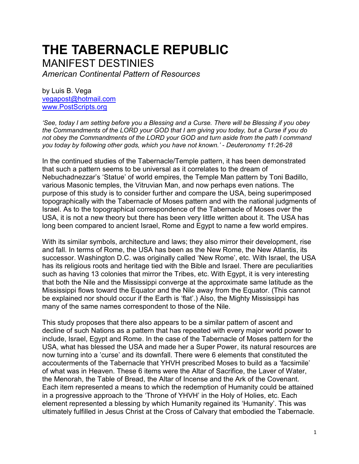# **THE TABERNACLE REPUBLIC** MANIFEST DESTINIES

*American Continental Pattern of Resources*

by Luis B. Vega [vegapost@hotmail.com](mailto:vegapost@hotmail.com) [www.PostScripts.org](http://www.postscripts.org/)

*'See, today I am setting before you a Blessing and a Curse. There will be Blessing if you obey the Commandments of the LORD your GOD that I am giving you today, but a Curse if you do not obey the Commandments of the LORD your GOD and turn aside from the path I command you today by following other gods, which you have not known.' - Deuteronomy 11:26-28*

In the continued studies of the Tabernacle/Temple pattern, it has been demonstrated that such a pattern seems to be universal as it correlates to the dream of Nebuchadnezzar's 'Statue' of world empires, the Temple Man pattern by Toni Badillo, various Masonic temples, the Vitruvian Man, and now perhaps even nations. The purpose of this study is to consider further and compare the USA, being superimposed topographically with the Tabernacle of Moses pattern and with the national judgments of Israel. As to the topographical correspondence of the Tabernacle of Moses over the USA, it is not a new theory but there has been very little written about it. The USA has long been compared to ancient Israel, Rome and Egypt to name a few world empires.

With its similar symbols, architecture and laws; they also mirror their development, rise and fall. In terms of Rome, the USA has been as the New Rome, the New Atlantis, its successor. Washington D.C. was originally called 'New Rome', etc. With Israel, the USA has its religious roots and heritage tied with the Bible and Israel. There are peculiarities such as having 13 colonies that mirror the Tribes, etc. With Egypt, it is very interesting that both the Nile and the Mississippi converge at the approximate same latitude as the Mississippi flows toward the Equator and the Nile away from the Equator. (This cannot be explained nor should occur if the Earth is 'flat'.) Also, the Mighty Mississippi has many of the same names correspondent to those of the Nile.

This study proposes that there also appears to be a similar pattern of ascent and decline of such Nations as a pattern that has repeated with every major world power to include, Israel, Egypt and Rome. In the case of the Tabernacle of Moses pattern for the USA, what has blessed the USA and made her a Super Power, its natural resources are now turning into a 'curse' and its downfall. There were 6 elements that constituted the accouterments of the Tabernacle that YHVH prescribed Moses to build as a 'facsimile' of what was in Heaven. These 6 items were the Altar of Sacrifice, the Laver of Water, the Menorah, the Table of Bread, the Altar of Incense and the Ark of the Covenant. Each item represented a means to which the redemption of Humanity could be attained in a progressive approach to the 'Throne of YHVH' in the Holy of Holies, etc. Each element represented a blessing by which Humanity regained its 'Humanity'. This was ultimately fulfilled in Jesus Christ at the Cross of Calvary that embodied the Tabernacle.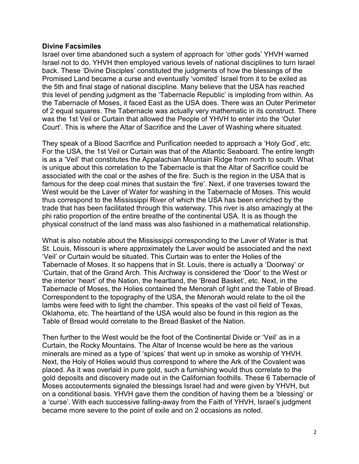## **Divine Facsimiles**

Israel over time abandoned such a system of approach for 'other gods' YHVH warned Israel not to do. YHVH then employed various levels of national disciplines to turn Israel back. These 'Divine Disciples' constituted the judgments of how the blessings of the Promised Land became a curse and eventually 'vomited' Israel from it to be exiled as the 5th and final stage of national discipline. Many believe that the USA has reached this level of pending judgment as the 'Tabernacle Republic' is imploding from within. As the Tabernacle of Moses, it faced East as the USA does. There was an Outer Perimeter of 2 equal squares. The Tabernacle was actually very mathematic in its construct. There was the 1st Veil or Curtain that allowed the People of YHVH to enter into the 'Outer Court'. This is where the Altar of Sacrifice and the Laver of Washing where situated.

They speak of a Blood Sacrifice and Purification needed to approach a 'Holy God', etc. For the USA, the 1st Veil or Curtain was that of the Atlantic Seaboard. The entire length is as a 'Veil' that constitutes the Appalachian Mountain Ridge from north to south. What is unique about this correlation to the Tabernacle is that the Altar of Sacrifice could be associated with the coal or the ashes of the fire. Such is the region in the USA that is famous for the deep coal mines that sustain the 'fire'. Next, if one traverses toward the West would be the Laver of Water for washing in the Tabernacle of Moses. This would thus correspond to the Mississippi River of which the USA has been enriched by the trade that has been facilitated through this waterway. This river is also amazingly at the phi ratio proportion of the entire breathe of the continental USA. It is as though the physical construct of the land mass was also fashioned in a mathematical relationship.

What is also notable about the Mississippi corresponding to the Laver of Water is that St. Louis, Missouri is where approximately the Laver would be associated and the next 'Veil' or Curtain would be situated. This Curtain was to enter the Holies of the Tabernacle of Moses. It so happens that in St. Louis, there is actually a 'Doorway' or 'Curtain, that of the Grand Arch. This Archway is considered the 'Door' to the West or the interior 'heart' of the Nation, the heartland, the 'Bread Basket', etc. Next, in the Tabernacle of Moses, the Holies contained the Menorah of light and the Table of Bread. Correspondent to the topography of the USA, the Menorah would relate to the oil the lambs were feed with to light the chamber. This speaks of the vast oil field of Texas, Oklahoma, etc. The heartland of the USA would also be found in this region as the Table of Bread would correlate to the Bread Basket of the Nation.

Then further to the West would be the foot of the Continental Divide or 'Veil' as in a Curtain, the Rocky Mountains. The Altar of Incense would be here as the various minerals are mined as a type of 'spices' that went up in smoke as worship of YHVH. Next, the Holy of Holies would thus correspond to where the Ark of the Covalent was placed. As it was overlaid in pure gold, such a furnishing would thus correlate to the gold deposits and discovery made out in the Californian foothills. These 6 Tabernacle of Moses accouterments signaled the blessings Israel had and were given by YHVH, but on a conditional basis. YHVH gave them the condition of having them be a 'blessing' or a 'curse'. With each successive falling-away from the Faith of YHVH, Israel's judgment became more severe to the point of exile and on 2 occasions as noted.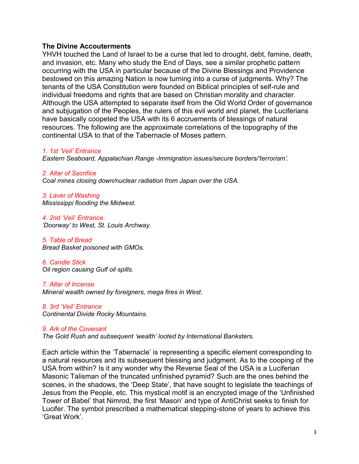## **The Divine Accouterments**

YHVH touched the Land of Israel to be a curse that led to drought, debt, famine, death, and invasion, etc. Many who study the End of Days, see a similar prophetic pattern occurring with the USA in particular because of the Divine Blessings and Providence bestowed on this amazing Nation is now turning into a curse of judgments. Why? The tenants of the USA Constitution were founded on Biblical principles of self-rule and individual freedoms and rights that are based on Christian morality and character. Although the USA attempted to separate itself from the Old World Order of governance and subjugation of the Peoples, the rulers of this evil world and planet, the Luciferians have basically coopeted the USA with its 6 accruements of blessings of natural resources. The following are the approximate correlations of the topography of the continental USA to that of the Tabernacle of Moses pattern.

### *1. 1st 'Veil' Entrance*

*Eastern Seaboard, Appalachian Range -Immigration issues/secure borders/'terrorism'.*

*2. Altar of Sacrifice Coal mines closing down/nuclear radiation from Japan over the USA.*

*3. Laver of Washing Mississippi flooding the Midwest.*

*4. 2nd 'Veil' Entrance 'Doorway' to West, St. Louis Archway.*

*5. Table of Bread Bread Basket poisoned with GMOs.*

*6. Candle Stick Oil region causing Gulf oil spills.*

*7. Altar of Incense Mineral wealth owned by foreigners, mega fires in West.*

*8. 3rd 'Veil' Entrance Continental Divide Rocky Mountains.* 

#### *9. Ark of the Covenant The Gold Rush and subsequent 'wealth' looted by International Banksters.*

Each article within the 'Tabernacle' is representing a specific element corresponding to a natural resources and its subsequent blessing and judgment. As to the cooping of the USA from within? Is it any wonder why the Reverse Seal of the USA is a Luciferian Masonic Talisman of the truncated unfinished pyramid? Such are the ones behind the scenes, in the shadows, the 'Deep State', that have sought to legislate the teachings of Jesus from the People, etc. This mystical motif is an encrypted image of the 'Unfinished Tower of Babel' that Nimrod, the first 'Mason' and type of AntiChrist seeks to finish for Lucifer. The symbol prescribed a mathematical stepping-stone of years to achieve this 'Great Work'.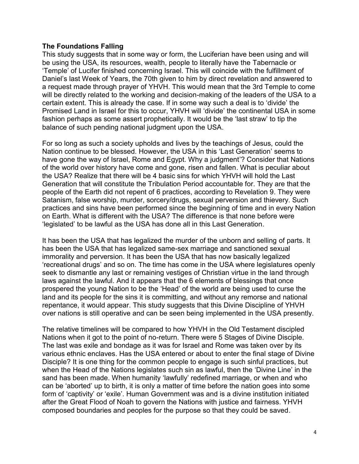## **The Foundations Falling**

This study suggests that in some way or form, the Luciferian have been using and will be using the USA, its resources, wealth, people to literally have the Tabernacle or 'Temple' of Lucifer finished concerning Israel. This will coincide with the fulfillment of Daniel's last Week of Years, the 70th given to him by direct revelation and answered to a request made through prayer of YHVH. This would mean that the 3rd Temple to come will be directly related to the working and decision-making of the leaders of the USA to a certain extent. This is already the case. If in some way such a deal is to 'divide' the Promised Land in Israel for this to occur, YHVH will 'divide' the continental USA in some fashion perhaps as some assert prophetically. It would be the 'last straw' to tip the balance of such pending national judgment upon the USA.

For so long as such a society upholds and lives by the teachings of Jesus, could the Nation continue to be blessed. However, the USA in this 'Last Generation' seems to have gone the way of Israel, Rome and Egypt. Why a judgment'? Consider that Nations of the world over history have come and gone, risen and fallen. What is peculiar about the USA? Realize that there will be 4 basic sins for which YHVH will hold the Last Generation that will constitute the Tribulation Period accountable for. They are that the people of the Earth did not repent of 6 practices, according to Revelation 9. They were Satanism, false worship, murder, sorcery/drugs, sexual perversion and thievery. Such practices and sins have been performed since the beginning of time and in every Nation on Earth. What is different with the USA? The difference is that none before were 'legislated' to be lawful as the USA has done all in this Last Generation.

It has been the USA that has legalized the murder of the unborn and selling of parts. It has been the USA that has legalized same-sex marriage and sanctioned sexual immorality and perversion. It has been the USA that has now basically legalized 'recreational drugs' and so on. The time has come in the USA where legislatures openly seek to dismantle any last or remaining vestiges of Christian virtue in the land through laws against the lawful. And it appears that the 6 elements of blessings that once prospered the young Nation to be the 'Head' of the world are being used to curse the land and its people for the sins it is committing, and without any remorse and national repentance, it would appear. This study suggests that this Divine Discipline of YHVH over nations is still operative and can be seen being implemented in the USA presently.

The relative timelines will be compared to how YHVH in the Old Testament discipled Nations when it got to the point of no-return. There were 5 Stages of Divine Disciple. The last was exile and bondage as it was for Israel and Rome was taken over by its various ethnic enclaves. Has the USA entered or about to enter the final stage of Divine Disciple? It is one thing for the common people to engage is such sinful practices, but when the Head of the Nations legislates such sin as lawful, then the 'Divine Line' in the sand has been made. When humanity 'lawfully' redefined marriage, or when and who can be 'aborted' up to birth, it is only a matter of time before the nation goes into some form of 'captivity' or 'exile'. Human Government was and is a divine institution initiated after the Great Flood of Noah to govern the Nations with justice and fairness. YHVH composed boundaries and peoples for the purpose so that they could be saved.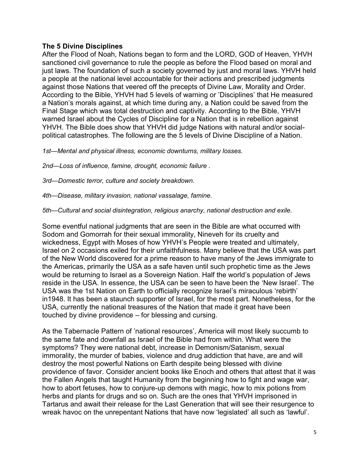## **The 5 Divine Disciplines**

After the Flood of Noah, Nations began to form and the LORD, GOD of Heaven, YHVH sanctioned civil governance to rule the people as before the Flood based on moral and just laws. The foundation of such a society governed by just and moral laws. YHVH held a people at the national level accountable for their actions and prescribed judgments against those Nations that veered off the precepts of Divine Law, Morality and Order. According to the Bible, YHVH had 5 levels of warning or 'Disciplines' that He measured a Nation's morals against, at which time during any, a Nation could be saved from the Final Stage which was total destruction and captivity. According to the Bible, YHVH warned Israel about the Cycles of Discipline for a Nation that is in rebellion against YHVH. The Bible does show that YHVH did judge Nations with natural and/or socialpolitical catastrophes. The following are the 5 levels of Divine Discipline of a Nation.

*1st—Mental and physical illness, economic downturns, military losses.* 

*2nd—Loss of influence, famine, drought, economic failure .*

*3rd—Domestic terror, culture and society breakdown.*

*4th—Disease, military invasion, national vassalage, famine.* 

*5th—Cultural and social disintegration, religious anarchy, national destruction and exile.*

Some eventful national judgments that are seen in the Bible are what occurred with Sodom and Gomorrah for their sexual immorality, Nineveh for its cruelty and wickedness, Egypt with Moses of how YHVH's People were treated and ultimately, Israel on 2 occasions exiled for their unfaithfulness. Many believe that the USA was part of the New World discovered for a prime reason to have many of the Jews immigrate to the Americas, primarily the USA as a safe haven until such prophetic time as the Jews would be returning to Israel as a Sovereign Nation. Half the world's population of Jews reside in the USA. In essence, the USA can be seen to have been the 'New Israel'. The USA was the 1st Nation on Earth to officially recognize Israel's miraculous 'rebirth' in1948. It has been a staunch supporter of Israel, for the most part. Nonetheless, for the USA, currently the national treasures of the Nation that made it great have been touched by divine providence – for blessing and cursing.

As the Tabernacle Pattern of 'national resources', America will most likely succumb to the same fate and downfall as Israel of the Bible had from within. What were the symptoms? They were national debt, increase in Demonism/Satanism, sexual immorality, the murder of babies, violence and drug addiction that have, are and will destroy the most powerful Nations on Earth despite being blessed with divine providence of favor. Consider ancient books like Enoch and others that attest that it was the Fallen Angels that taught Humanity from the beginning how to fight and wage war, how to abort fetuses, how to conjure-up demons with magic, how to mix potions from herbs and plants for drugs and so on. Such are the ones that YHVH imprisoned in Tartarus and await their release for the Last Generation that will see their resurgence to wreak havoc on the unrepentant Nations that have now 'legislated' all such as 'lawful'.